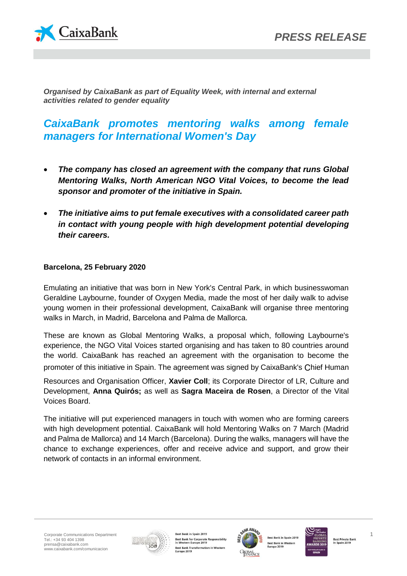

*Organised by CaixaBank as part of Equality Week, with internal and external activities related to gender equality*

## *CaixaBank promotes mentoring walks among female managers for International Women's Day*

- *The company has closed an agreement with the company that runs Global Mentoring Walks, North American NGO Vital Voices, to become the lead sponsor and promoter of the initiative in Spain.*
- *The initiative aims to put female executives with a consolidated career path in contact with young people with high development potential developing their careers.*

## **Barcelona, 25 February 2020**

Emulating an initiative that was born in New York's Central Park, in which businesswoman Geraldine Laybourne, founder of Oxygen Media, made the most of her daily walk to advise young women in their professional development, CaixaBank will organise three mentoring walks in March, in Madrid, Barcelona and Palma de Mallorca.

These are known as Global Mentoring Walks, a proposal which, following Laybourne's experience, the NGO Vital Voices started organising and has taken to 80 countries around the world. CaixaBank has reached an agreement with the organisation to become the promoter of this initiative in Spain. The agreement was signed by CaixaBank's Chief Human

Resources and Organisation Officer, **Xavier Coll**; its Corporate Director of LR, Culture and Development, **Anna Quirós;** as well as **Sagra Maceira de Rosen**, a Director of the Vital Voices Board.

The initiative will put experienced managers in touch with women who are forming careers with high development potential. CaixaBank will hold Mentoring Walks on 7 March (Madrid and Palma de Mallorca) and 14 March (Barcelona). During the walks, managers will have the chance to exchange experiences, offer and receive advice and support, and grow their network of contacts in an informal environment.



Best Bank in Spain 2019 Best Bank for Corporate Resp<br>in Western Europe 2019 **onsibility** Best Bank Transformation in Western<br>Europe 2019



st Bank in Spain 2019 .<br>Best Bank in Westerr<br>Europe 2019



1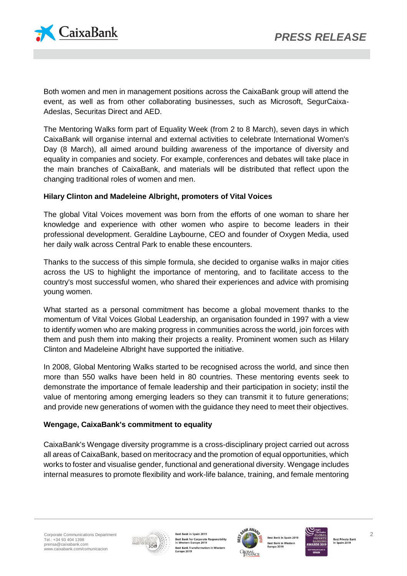

Both women and men in management positions across the CaixaBank group will attend the event, as well as from other collaborating businesses, such as Microsoft, SegurCaixa-Adeslas, Securitas Direct and AED.

The Mentoring Walks form part of Equality Week (from 2 to 8 March), seven days in which CaixaBank will organise internal and external activities to celebrate International Women's Day (8 March), all aimed around building awareness of the importance of diversity and equality in companies and society. For example, conferences and debates will take place in the main branches of CaixaBank, and materials will be distributed that reflect upon the changing traditional roles of women and men.

## **Hilary Clinton and Madeleine Albright, promoters of Vital Voices**

The global Vital Voices movement was born from the efforts of one woman to share her knowledge and experience with other women who aspire to become leaders in their professional development. Geraldine Laybourne, CEO and founder of Oxygen Media, used her daily walk across Central Park to enable these encounters.

Thanks to the success of this simple formula, she decided to organise walks in major cities across the US to highlight the importance of mentoring, and to facilitate access to the country's most successful women, who shared their experiences and advice with promising young women.

What started as a personal commitment has become a global movement thanks to the momentum of Vital Voices Global Leadership, an organisation founded in 1997 with a view to identify women who are making progress in communities across the world, join forces with them and push them into making their projects a reality. Prominent women such as Hilary Clinton and Madeleine Albright have supported the initiative.

In 2008, Global Mentoring Walks started to be recognised across the world, and since then more than 550 walks have been held in 80 countries. These mentoring events seek to demonstrate the importance of female leadership and their participation in society; instil the value of mentoring among emerging leaders so they can transmit it to future generations; and provide new generations of women with the guidance they need to meet their objectives.

## **Wengage, CaixaBank's commitment to equality**

CaixaBank's Wengage diversity programme is a cross-disciplinary project carried out across all areas of CaixaBank, based on meritocracy and the promotion of equal opportunities, which works to foster and visualise gender, functional and generational diversity. Wengage includes internal measures to promote flexibility and work-life balance, training, and female mentoring



Best Bank in Spain 2019 Best Bank for Corporate Res<br>in Western Europe 2019 sibility Best Bank Transformation in Western<br>Europe 2019



nk in Spain 201 lest Bank in West<mark>e</mark><br>:urope 2019



2